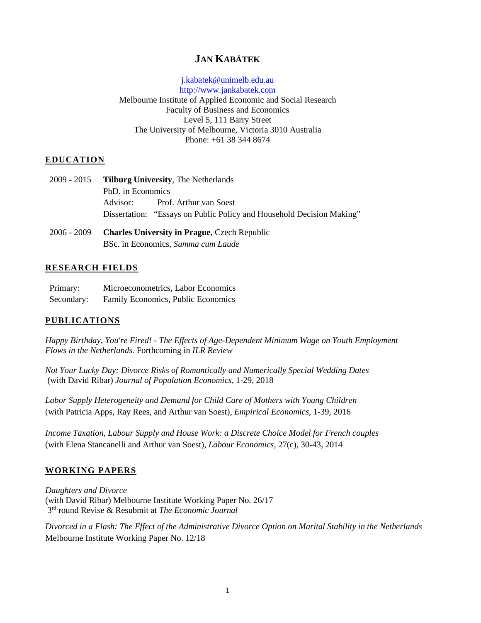# **JAN KABÁTEK**

[j.kabatek@unimelb.edu.au](mailto:j.kabatek@uvt.nl) [http://www.jankabatek.com](http://www.jankabatek.com/) Melbourne Institute of Applied Economic and Social Research Faculty of Business and Economics Level 5, 111 Barry Street The University of Melbourne, Victoria 3010 Australia Phone: +61 38 344 8674

#### **EDUCATION**

- 2009 2015 **Tilburg University**, The Netherlands PhD. in Economics Advisor: Prof. Arthur van Soest Dissertation: "Essays on Public Policy and Household Decision Making"
- 2006 2009 **Charles University in Prague**, Czech Republic BSc. in Economics, *Summa cum Laude*

#### **RESEARCH FIELDS**

| Primary:   | Microeconometrics, Labor Economics |
|------------|------------------------------------|
| Secondary: | Family Economics, Public Economics |

#### **PUBLICATIONS**

*Happy Birthday, You're Fired! - The Effects of Age-Dependent Minimum Wage on Youth Employment Flows in the Netherlands.* Forthcoming in *ILR Review*

*Not [Your Lucky Day: Divorce Risks of Romantically and Numerically Special Wedding Dates](https://papers.ssrn.com/sol3/papers.cfm?abstract_id=2844057)* (with David Ribar) *Journal of Population Economics,* 1-29, 2018

*[Labor Supply Heterogeneity and Demand for Child Care of Mothers with Young Children](https://sites.google.com/site/kabatekjan/labhetchcr190412_final.pdf?attredirects=0)* (with Patricia Apps, Ray Rees, and Arthur van Soest), *Empirical Economics*, 1-39*,* 2016

*[Income Taxation, Labour Supply and House Work: a Discrete Choice Model for French couples](https://sites.google.com/site/kabatekjan/kabatek_soest_stancanelli_taxtimeuse_final.pdf?attredirects=0&d=1)* (with Elena Stancanelli and Arthur van Soest), *Labour Economics,* 27(c), 30-43, 2014

#### **WORKING PAPERS**

*Daughters and Divorce* (with David Ribar) Melbourne Institute Working Paper No. 26/17 3rd round Revise & Resubmit at *The Economic Journal*

*[Divorced in a Flash: The Effect of the Administrative Divorce Option on Marital Stability in the Netherlands](http://www.cpb.nl/sites/default/files/publicaties/download/cpb-discussion-paper-286-effectiveness-fiscal-stimuli-working-parents.pdf)*  Melbourne Institute Working Paper No. 12/18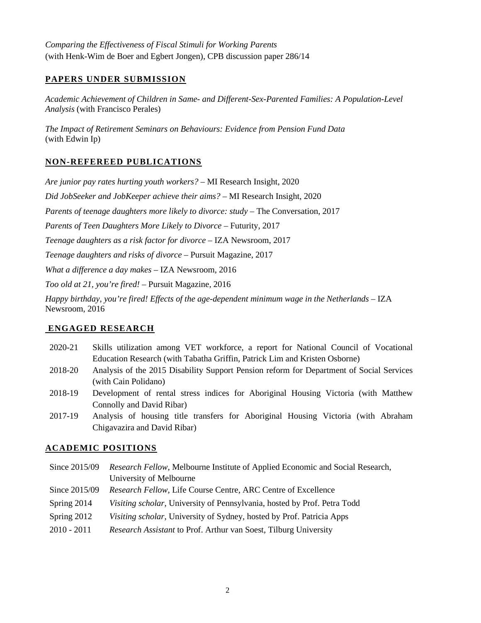*[Comparing the Effectiveness of Fiscal Stimuli for Working Parents](http://www.cpb.nl/sites/default/files/publicaties/download/cpb-discussion-paper-286-effectiveness-fiscal-stimuli-working-parents.pdf)* (with Henk-Wim de Boer and Egbert Jongen), CPB discussion paper 286/14

### **PAPERS UNDER SUBMISSION**

*Academic Achievement of Children in Same- and Different-Sex-Parented Families: A Population-Level Analysis* (with Francisco Perales)

*The Impact of Retirement Seminars on Behaviours: Evidence from Pension Fund Data* (with Edwin Ip)

## **NON-REFEREED PUBLICATIONS**

*Are junior pay rates hurting youth workers? –* MI Research Insight, 2020

*Did JobSeeker and JobKeeper achieve their aims?* – MI Research Insight, 2020

*[Parents of teenage daughters more likely to divorce: study](https://theconversation.com/parents-of-teenage-daughters-more-likely-to-divorce-study-84704)* – The Conversation, 2017

*[Parents of Teen Daughters More Likely to Divorce](https://www.futurity.org/teen-daughters-divorce-1558082-2/)* – Futurity, 2017

*[Teenage daughters as a risk factor for divorce](https://newsroom.iza.org/en/archive/research/teenage-daughters-as-a-risk-factor-for-divorce/)* – IZA Newsroom, 2017

*[Teenage daughters and risks](https://pursuit.unimelb.edu.au/articles/teenage-daughters-as-a-risk-of-divorce) of divorce* – Pursuit Magazine, 2017

*[What a difference a day makes](https://newsroom.iza.org/en/archive/research/what-a-difference-a-day-makes-marriages-with-special-wedding-dates-more-likely-to-fail/) –* IZA Newsroom, 2016

*[Too old at 21, you're fired!](https://pursuit.unimelb.edu.au/articles/happy-birthday-you-re-fired) –* Pursuit Magazine, 2016

*[Happy birthday, you're fired! Effects of the age-dependent minimum wage in the Netherlands](https://newsroom.iza.org/en/archive/research/happy-birthday-youre-fired-effects-of-the-age-dependent-minimum-wage-in-the-netherlands/) –* IZA Newsroom, 2016

#### **ENGAGED RESEARCH**

- 2020-21 Skills utilization among VET workforce, a report for National Council of Vocational Education Research (with Tabatha Griffin, Patrick Lim and Kristen Osborne)
- 2018-20 Analysis of the 2015 Disability Support Pension reform for Department of Social Services (with Cain Polidano)
- 2018-19 Development of rental stress indices for Aboriginal Housing Victoria (with Matthew Connolly and David Ribar)
- 2017-19 Analysis of housing title transfers for Aboriginal Housing Victoria (with Abraham Chigavazira and David Ribar)

## **ACADEMIC POSITIONS**

- Since 2015/09 *Research Fellow*, Melbourne Institute of Applied Economic and Social Research, University of Melbourne
- Since 2015/09 *Research Fellow*, Life Course Centre, ARC Centre of Excellence
- Spring 2014 *Visiting scholar*, University of Pennsylvania, hosted by Prof. Petra Todd
- Spring 2012 *Visiting scholar*, University of Sydney, hosted by Prof. Patricia Apps
- 2010 2011 *Research Assistant* to Prof. Arthur van Soest, Tilburg University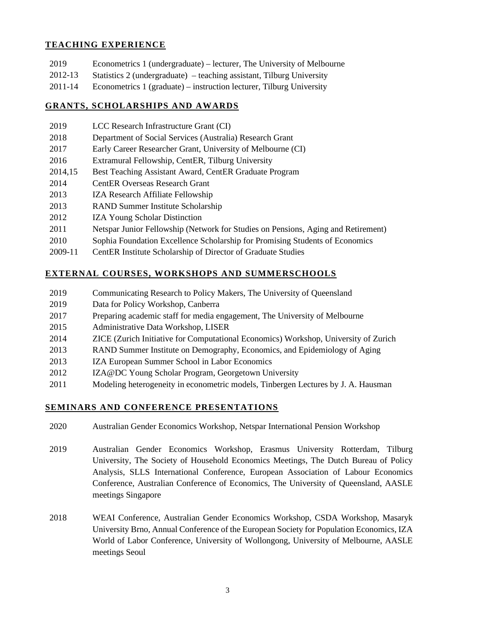#### **TEACHING EXPERIENCE**

- 2019 Econometrics 1 (undergraduate) lecturer, The University of Melbourne
- 2012-13 Statistics 2 (undergraduate) teaching assistant, Tilburg University
- 2011-14 Econometrics 1 (graduate) instruction lecturer, Tilburg University

#### **GRANTS, SCHOLARSHIPS AND AWARDS**

- 2019 LCC Research Infrastructure Grant (CI)
- 2018 Department of Social Services (Australia) Research Grant
- 2017 Early Career Researcher Grant, University of Melbourne (CI)
- 2016 Extramural Fellowship*,* CentER, Tilburg University
- 2014,15 Best Teaching Assistant Award, CentER Graduate Program
- 2014 CentER Overseas Research Grant
- 2013 IZA Research Affiliate Fellowship
- 2013 RAND Summer Institute Scholarship
- 2012 IZA Young Scholar Distinction
- 2011 Netspar Junior Fellowship (Network for Studies on Pensions, Aging and Retirement)
- 2010 Sophia Foundation Excellence Scholarship for Promising Students of Economics
- 2009-11 CentER Institute Scholarship of Director of Graduate Studies

#### **EXTERNAL COURSES, WORKSHOPS AND SUMMERSCHOOLS**

- 2019 Communicating Research to Policy Makers, The University of Queensland
- 2019 Data for Policy Workshop, Canberra
- 2017 Preparing academic staff for media engagement, The University of Melbourne
- 2015 Administrative Data Workshop, LISER
- 2014 ZICE (Zurich Initiative for Computational Economics) Workshop, University of Zurich
- 2013 RAND Summer Institute on Demography, Economics, and Epidemiology of Aging
- 2013 IZA European Summer School in Labor Economics
- 2012 IZA@DC Young Scholar Program, Georgetown University
- 2011 Modeling heterogeneity in econometric models, Tinbergen Lectures by J. A. Hausman

#### **SEMINARS AND CONFERENCE PRESENTATIONS**

- 2020 Australian Gender Economics Workshop, Netspar International Pension Workshop
- 2019 Australian Gender Economics Workshop, Erasmus University Rotterdam, Tilburg University, The Society of Household Economics Meetings, The Dutch Bureau of Policy Analysis, SLLS International Conference, European Association of Labour Economics Conference, Australian Conference of Economics, The University of Queensland, AASLE meetings Singapore
- 2018 WEAI Conference, Australian Gender Economics Workshop, CSDA Workshop, Masaryk University Brno, Annual Conference of the European Society for Population Economics, IZA World of Labor Conference, University of Wollongong, University of Melbourne, AASLE meetings Seoul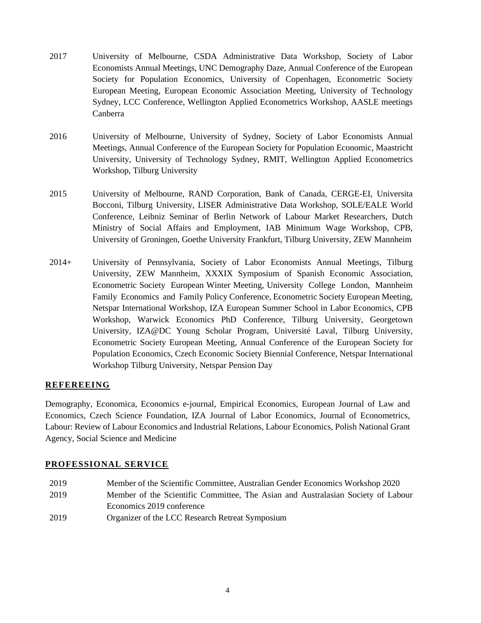- 2017 University of Melbourne, CSDA Administrative Data Workshop, Society of Labor Economists Annual Meetings, UNC Demography Daze, Annual Conference of the European Society for Population Economics, University of Copenhagen, Econometric Society European Meeting, European Economic Association Meeting, University of Technology Sydney, LCC Conference, Wellington Applied Econometrics Workshop, AASLE meetings Canberra
- 2016 University of Melbourne, University of Sydney, Society of Labor Economists Annual Meetings, Annual Conference of the European Society for Population Economic, Maastricht University, University of Technology Sydney, RMIT, Wellington Applied Econometrics Workshop, Tilburg University
- 2015 University of Melbourne, RAND Corporation, Bank of Canada, CERGE-EI, Universita Bocconi, Tilburg University, LISER Administrative Data Workshop, SOLE/EALE World Conference, Leibniz Seminar of Berlin Network of Labour Market Researchers, Dutch Ministry of Social Affairs and Employment, IAB Minimum Wage Workshop, CPB, University of Groningen, Goethe University Frankfurt, Tilburg University, ZEW Mannheim
- 2014+ University of Pennsylvania, Society of Labor Economists Annual Meetings, Tilburg University, ZEW Mannheim, XXXIX Symposium of Spanish Economic Association, Econometric Society European Winter Meeting, University College London, Mannheim Family Economics and Family Policy Conference, Econometric Society European Meeting, Netspar International Workshop, IZA European Summer School in Labor Economics, CPB Workshop, Warwick Economics PhD Conference, Tilburg University, Georgetown University, IZA@DC Young Scholar Program, Université Laval, Tilburg University, Econometric Society European Meeting, Annual Conference of the European Society for Population Economics, Czech Economic Society Biennial Conference, Netspar International Workshop Tilburg University, Netspar Pension Day

#### **REFEREEING**

Demography, Economica, Economics e-journal, Empirical Economics, European Journal of Law and Economics, Czech Science Foundation, IZA Journal of Labor Economics, Journal of Econometrics, Labour: Review of Labour Economics and Industrial Relations, Labour Economics, Polish National Grant Agency, Social Science and Medicine

#### **PROFESSIONAL SERVICE**

 Member of the Scientific Committee, Australian Gender Economics Workshop 2020 Member of the Scientific Committee, The Asian and Australasian Society of Labour Economics 2019 conference Organizer of the LCC Research Retreat Symposium